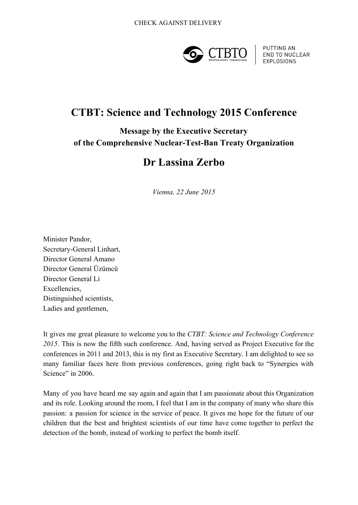

PUTTING AN **END TO NUCLEAR EXPLOSIONS** 

## **CTBT: Science and Technology 2015 Conference**

**Message by the Executive Secretary of** the Comprehensive Nuclear-Test-Ban Treaty Organization

## **Dr Lassina Zerbo**

*Vienna, 22 June 2015*

Minister Pandor, Secretary-General Linhart, Director General Amano Director General Üzümcü Director General Li Excellencies, Distinguished scientists, Ladies and gentlemen,

It gives me great pleasure to welcome you to the *CTBT: Science and Technology Conference 2015*. This is now the fifth such conference. And, having served as Project Executive for the conferences in 2011 and 2013, this is my first as Executive Secretary. I am delighted to see so many familiar faces here from previous conferences, going right back to "Synergies with Science" in 2006.

Many of you have heard me say again and again that I am passionate about this Organization and its role. Looking around the room, I feel that I am in the company of many who share this passion: a passion for science in the service of peace. It gives me hope for the future of our children that the best and brightest scientists of our time have come together to perfect the detection of the bomb, instead of working to perfect the bomb itself.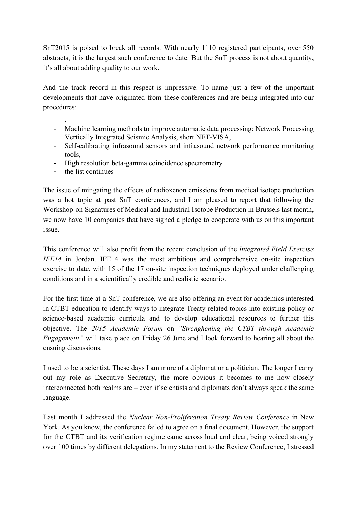SnT2015 is poised to break all records. With nearly 1110 registered participants, over 550 abstracts, it is the largest such conference to date. But the SnT process is not about quantity, it's all about adding quality to our work.

And the track record in this respect is impressive. To name just a few of the important developments that have originated from these conferences and are being integrated into our procedures:

- Machine learning methods to improve automatic data processing: Network Processing Vertically Integrated Seismic Analysis, short NET-VISA,
- Self-calibrating infrasound sensors and infrasound network performance monitoring tools,
- High resolution beta-gamma coincidence spectrometry
- the list continues

,

The issue of mitigating the effects of radioxenon emissions from medical isotope production was a hot topic at past SnT conferences, and I am pleased to report that following the Workshop on Signatures of Medical and Industrial Isotope Production in Brussels last month, we now have 10 companies that have signed a pledge to cooperate with us on this important issue.

This conference will also profit from the recent conclusion of the *Integrated Field Exercise IFE14* in Jordan. IFE14 was the most ambitious and comprehensive on-site inspection exercise to date, with 15 of the 17 on-site inspection techniques deployed under challenging conditions and in a scientifically credible and realistic scenario.

For the first time at a SnT conference, we are also offering an event for academics interested in CTBT education to identify ways to integrate Treaty-related topics into existing policy or science-based academic curricula and to develop educational resources to further this objective. The *2015 Academic Forum* on *"Strenghening the CTBT through Academic Engagement"* will take place on Friday 26 June and I look forward to hearing all about the ensuing discussions.

I used to be a scientist. These days I am more of a diplomat or a politician. The longer I carry out my role as Executive Secretary, the more obvious it becomes to me how closely interconnected both realms are – even if scientists and diplomats don't always speak the same language.

Last month I addressed the *Nuclear Non-Proliferation Treaty Review Conference* in New York. As you know, the conference failed to agree on a final document. However, the support for the CTBT and its verification regime came across loud and clear, being voiced strongly over 100 times by different delegations. In my statement to the Review Conference, I stressed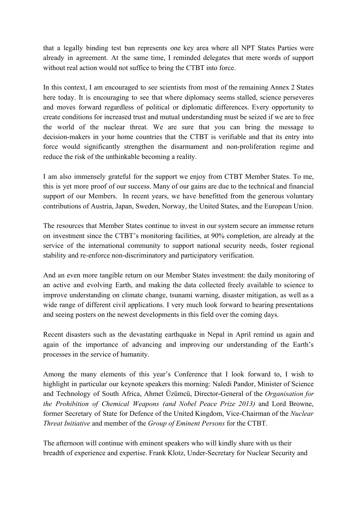that a legally binding test ban represents one key area where all NPT States Parties were already in agreement. At the same time, I reminded delegates that mere words of support without real action would not suffice to bring the CTBT into force.

In this context, I am encouraged to see scientists from most of the remaining Annex 2 States here today. It is encouraging to see that where diplomacy seems stalled, science perseveres and moves forward regardless of political or diplomatic differences. Every opportunity to create conditions for increased trust and mutual understanding must be seized if we are to free the world of the nuclear threat. We are sure that you can bring the message to decision-makers in your home countries that the CTBT is verifiable and that its entry into force would significantly strengthen the disarmament and non-proliferation regime and reduce the risk of the unthinkable becoming a reality.

I am also immensely grateful for the support we enjoy from CTBT Member States. To me, this is yet more proof of our success. Many of our gains are due to the technical and financial support of our Members. In recent years, we have benefitted from the generous voluntary contributions of Austria, Japan, Sweden, Norway, the United States, and the European Union.

The resources that Member States continue to invest in our system secure an immense return on investment since the CTBT's monitoring facilities, at 90% completion, are already at the service of the international community to support national security needs, foster regional stability and re-enforce non-discriminatory and participatory verification.

And an even more tangible return on our Member States investment: the daily monitoring of an active and evolving Earth, and making the data collected freely available to science to improve understanding on climate change, tsunami warning, disaster mitigation, as well as a wide range of different civil applications. I very much look forward to hearing presentations and seeing posters on the newest developments in this field over the coming days.

Recent disasters such as the devastating earthquake in Nepal in April remind us again and again of the importance of advancing and improving our understanding of the Earth's processes in the service of humanity.

Among the many elements of this year's Conference that I look forward to, I wish to highlight in particular our keynote speakers this morning: Naledi Pandor, Minister of Science and Technology of South Africa, Ahmet Üzümcü, Director-General of the *Organisation for the Prohibition of Chemical Weapons (and Nobel Peace Prize 2013)* and Lord Browne, former Secretary of State for Defence of the United Kingdom, Vice-Chairman of the *Nuclear Threat Initiative* and member of the *Group of Eminent Persons* for the CTBT.

The afternoon will continue with eminent speakers who will kindly share with us their breadth of experience and expertise. Frank Klotz, Under-Secretary for Nuclear Security and